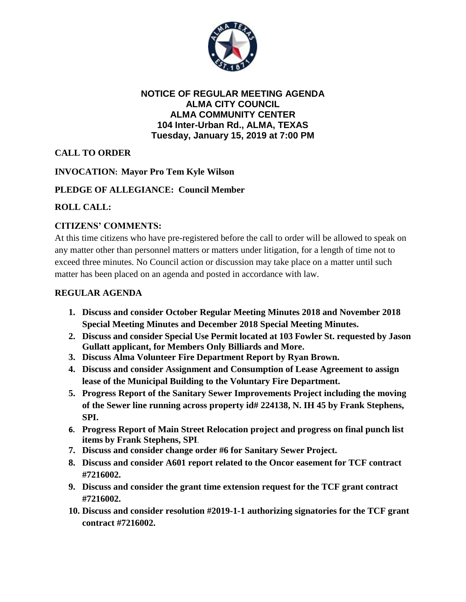

#### **NOTICE OF REGULAR MEETING AGENDA ALMA CITY COUNCIL ALMA COMMUNITY CENTER 104 Inter-Urban Rd., ALMA, TEXAS Tuesday, January 15, 2019 at 7:00 PM**

# **CALL TO ORDER**

## **INVOCATION: Mayor Pro Tem Kyle Wilson**

## **PLEDGE OF ALLEGIANCE: Council Member**

## **ROLL CALL:**

## **CITIZENS' COMMENTS:**

At this time citizens who have pre-registered before the call to order will be allowed to speak on any matter other than personnel matters or matters under litigation, for a length of time not to exceed three minutes. No Council action or discussion may take place on a matter until such matter has been placed on an agenda and posted in accordance with law.

## **REGULAR AGENDA**

- **1. Discuss and consider October Regular Meeting Minutes 2018 and November 2018 Special Meeting Minutes and December 2018 Special Meeting Minutes.**
- **2. Discuss and consider Special Use Permit located at 103 Fowler St. requested by Jason Gullatt applicant, for Members Only Billiards and More.**
- **3. Discuss Alma Volunteer Fire Department Report by Ryan Brown.**
- **4. Discuss and consider Assignment and Consumption of Lease Agreement to assign lease of the Municipal Building to the Voluntary Fire Department.**
- **5. Progress Report of the Sanitary Sewer Improvements Project including the moving of the Sewer line running across property id# 224138, N. IH 45 by Frank Stephens, SPI.**
- **6. Progress Report of Main Street Relocation project and progress on final punch list items by Frank Stephens, SPI**.
- **7. Discuss and consider change order #6 for Sanitary Sewer Project.**
- **8. Discuss and consider A601 report related to the Oncor easement for TCF contract #7216002.**
- **9. Discuss and consider the grant time extension request for the TCF grant contract #7216002.**
- **10. Discuss and consider resolution #2019-1-1 authorizing signatories for the TCF grant contract #7216002.**